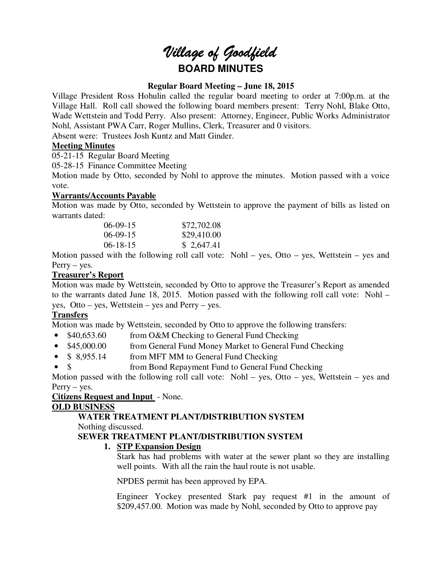# *Village of Goodfield* **BOARD MINUTES**

# **Regular Board Meeting – June 18, 2015**

Village President Ross Hohulin called the regular board meeting to order at 7:00p.m. at the Village Hall. Roll call showed the following board members present: Terry Nohl, Blake Otto, Wade Wettstein and Todd Perry. Also present: Attorney, Engineer, Public Works Administrator Nohl, Assistant PWA Carr, Roger Mullins, Clerk, Treasurer and 0 visitors.

Absent were: Trustees Josh Kuntz and Matt Ginder.

# **Meeting Minutes**

05-21-15 Regular Board Meeting

05-28-15 Finance Committee Meeting

Motion made by Otto, seconded by Nohl to approve the minutes. Motion passed with a voice vote.

# **Warrants/Accounts Payable**

Motion was made by Otto, seconded by Wettstein to approve the payment of bills as listed on warrants dated:

| $06-09-15$     | \$72,702.08 |
|----------------|-------------|
| $06-09-15$     | \$29,410.00 |
| $06 - 18 - 15$ | \$2,647.41  |

Motion passed with the following roll call vote: Nohl – yes, Otto – yes, Wettstein – yes and Perry – yes.

# **Treasurer's Report**

Motion was made by Wettstein, seconded by Otto to approve the Treasurer's Report as amended to the warrants dated June 18, 2015. Motion passed with the following roll call vote: Nohl – yes, Otto – yes, Wettstein – yes and Perry – yes.

# **Transfers**

Motion was made by Wettstein, seconded by Otto to approve the following transfers:

- \$40,653.60 from O&M Checking to General Fund Checking
- \$45,000.00 from General Fund Money Market to General Fund Checking
- \$ 8,955.14 from MFT MM to General Fund Checking
- \$ from Bond Repayment Fund to General Fund Checking

Motion passed with the following roll call vote: Nohl – yes, Otto – yes, Wettstein – yes and Perry – yes.

# **Citizens Request and Input** - None.

# **OLD BUSINESS**

# **WATER TREATMENT PLANT/DISTRIBUTION SYSTEM**

Nothing discussed.

# **SEWER TREATMENT PLANT/DISTRIBUTION SYSTEM**

# **1. STP Expansion Design**

Stark has had problems with water at the sewer plant so they are installing well points. With all the rain the haul route is not usable.

NPDES permit has been approved by EPA.

Engineer Yockey presented Stark pay request #1 in the amount of \$209,457.00. Motion was made by Nohl, seconded by Otto to approve pay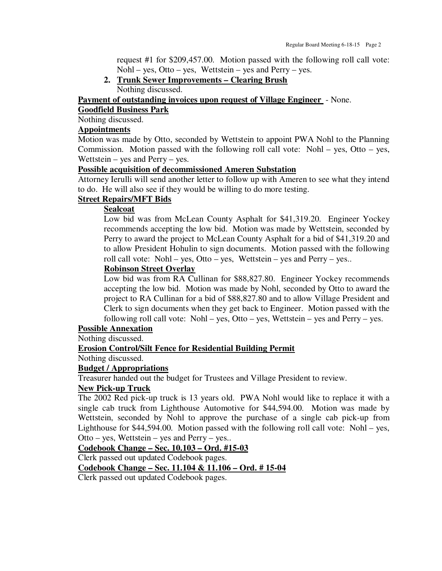request #1 for \$209,457.00. Motion passed with the following roll call vote: Nohl – yes, Otto – yes, Wettstein – yes and Perry – yes.

**2. Trunk Sewer Improvements – Clearing Brush**  Nothing discussed.

**Payment of outstanding invoices upon request of Village Engineer** - None.

# **Goodfield Business Park**

Nothing discussed.

# **Appointments**

Motion was made by Otto, seconded by Wettstein to appoint PWA Nohl to the Planning Commission. Motion passed with the following roll call vote: Nohl – yes, Otto – yes, Wettstein – yes and Perry – yes.

#### **Possible acquisition of decommissioned Ameren Substation**

Attorney Ierulli will send another letter to follow up with Ameren to see what they intend to do. He will also see if they would be willing to do more testing.

# **Street Repairs/MFT Bids**

#### **Sealcoat**

Low bid was from McLean County Asphalt for \$41,319.20. Engineer Yockey recommends accepting the low bid. Motion was made by Wettstein, seconded by Perry to award the project to McLean County Asphalt for a bid of \$41,319.20 and to allow President Hohulin to sign documents. Motion passed with the following roll call vote: Nohl – yes, Otto – yes, Wettstein – yes and Perry – yes..

#### **Robinson Street Overlay**

Low bid was from RA Cullinan for \$88,827.80. Engineer Yockey recommends accepting the low bid. Motion was made by Nohl, seconded by Otto to award the project to RA Cullinan for a bid of \$88,827.80 and to allow Village President and Clerk to sign documents when they get back to Engineer. Motion passed with the following roll call vote: Nohl – yes, Otto – yes, Wettstein – yes and Perry – yes.

#### **Possible Annexation**

Nothing discussed.

#### **Erosion Control/Silt Fence for Residential Building Permit**

Nothing discussed.

#### **Budget / Appropriations**

Treasurer handed out the budget for Trustees and Village President to review.

# **New Pick-up Truck**

The 2002 Red pick-up truck is 13 years old. PWA Nohl would like to replace it with a single cab truck from Lighthouse Automotive for \$44,594.00. Motion was made by Wettstein, seconded by Nohl to approve the purchase of a single cab pick-up from Lighthouse for \$44,594.00. Motion passed with the following roll call vote: Nohl – yes, Otto – yes, Wettstein – yes and Perry – yes..

## **Codebook Change – Sec. 10.103 – Ord. #15-03**

Clerk passed out updated Codebook pages.

**Codebook Change – Sec. 11.104 & 11.106 – Ord. # 15-04** 

Clerk passed out updated Codebook pages.